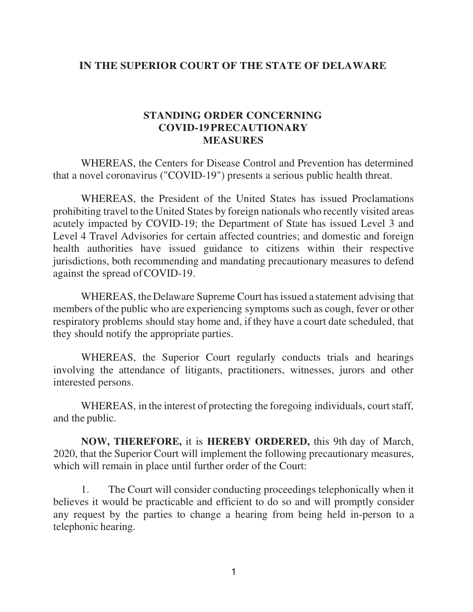## **IN THE SUPERIOR COURT OF THE STATE OF DELAWARE**

## **STANDING ORDER CONCERNING COVID-19 PRECAUTIONARY MEASURES**

WHEREAS, the Centers for Disease Control and Prevention has determined that a novel coronavirus ("COVID-19") presents a serious public health threat.

WHEREAS, the President of the United States has issued Proclamations prohibiting travel to the United States by foreign nationals who recently visited areas acutely impacted by COVID-19; the Department of State has issued Level 3 and Level 4 Travel Advisories for certain affected countries; and domestic and foreign health authorities have issued guidance to citizens within their respective jurisdictions, both recommending and mandating precautionary measures to defend against the spread of COVID-19.

WHEREAS, the Delaware Supreme Court has issued a statement advising that members of the public who are experiencing symptoms such as cough, fever or other respiratory problems should stay home and, if they have a court date scheduled, that they should notify the appropriate parties.

WHEREAS, the Superior Court regularly conducts trials and hearings involving the attendance of litigants, practitioners, witnesses, jurors and other interested persons.

WHEREAS, in the interest of protecting the foregoing individuals, court staff, and the public.

**NOW, THEREFORE,** it is **HEREBY ORDERED,** this 9th day of March, 2020, that the Superior Court will implement the following precautionary measures, which will remain in place until further order of the Court:

1. The Court will consider conducting proceedings telephonically when it believes it would be practicable and efficient to do so and will promptly consider any request by the parties to change a hearing from being held in-person to a telephonic hearing.